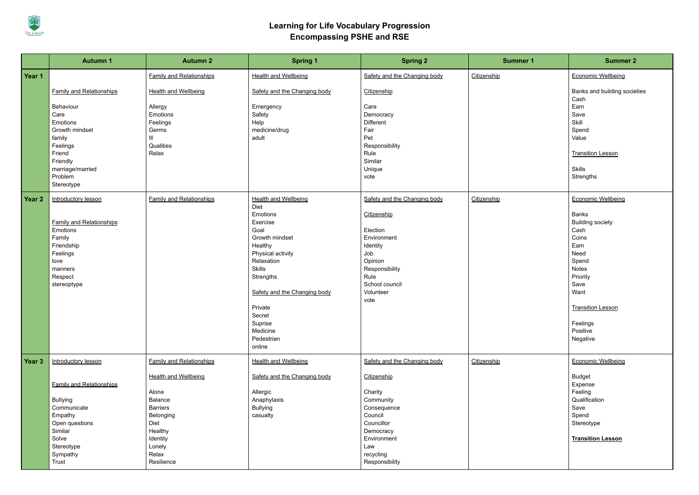

## **Learning for Life Vocabulary Progression Encompassing PSHE and RSE**

|        | <b>Autumn 1</b>                 | <b>Autumn 2</b>                 | <b>Spring 1</b>                     | <b>Spring 2</b>              | <b>Summer 1</b> | <b>Summer 2</b>                      |
|--------|---------------------------------|---------------------------------|-------------------------------------|------------------------------|-----------------|--------------------------------------|
| Year 1 |                                 | <b>Family and Relationships</b> | <b>Health and Wellbeing</b>         | Safety and the Changing body | Citizenship     | <b>Economic Wellbeing</b>            |
|        | <b>Family and Relationships</b> | <b>Health and Wellbeing</b>     | Safety and the Changing body        | Citizenship                  |                 | Banks and building societies<br>Cash |
|        | Behaviour                       | Allergy                         | Emergency                           | Care                         |                 | Earn                                 |
|        | Care                            | Emotions                        | Safety                              | Democracy                    |                 | Save                                 |
|        | Emotions                        | Feelings                        | Help                                | Different                    |                 | Skill                                |
|        | Growth mindset                  | Germs                           | medicine/drug                       | Fair                         |                 | Spend                                |
|        | family                          | Ш                               | adult                               | Pet                          |                 | Value                                |
|        | Feelings                        | Qualities                       |                                     | Responsibility               |                 |                                      |
|        | Friend                          | Relax                           |                                     | Rule<br>Similar              |                 | <b>Transition Lesson</b>             |
|        | Friendly                        |                                 |                                     | Unique                       |                 | <b>Skills</b>                        |
|        | marriage/married<br>Problem     |                                 |                                     | vote                         |                 | Strengths                            |
|        | Stereotype                      |                                 |                                     |                              |                 |                                      |
| Year 2 | Introductory lesson             | <b>Family and Relationships</b> | <b>Health and Wellbeing</b><br>Diet | Safety and the Changing body | Citizenship     | <b>Economic Wellbeing</b>            |
|        |                                 |                                 | Emotions                            | Citizenship                  |                 | <b>Banks</b>                         |
|        | <b>Family and Relationships</b> |                                 | Exercise                            |                              |                 | <b>Building society</b>              |
|        | Emotions                        |                                 | Goal                                | Election                     |                 | Cash                                 |
|        | Family                          |                                 | Growth mindset                      | Environment                  |                 | Coins                                |
|        | Friendship                      |                                 | Healthy                             | Identity                     |                 | Earn                                 |
|        | Feelings                        |                                 | Physical activity                   | Job                          |                 | Need                                 |
|        | love                            |                                 | Relaxation                          | Opinion                      |                 | Spend                                |
|        | manners                         |                                 | <b>Skills</b>                       | Responsibility               |                 | <b>Notes</b>                         |
|        | Respect                         |                                 | Strengths                           | Rule<br>School council       |                 | Priority<br>Save                     |
|        | stereoptype                     |                                 | Safety and the Changing body        | Volunteer                    |                 | Want                                 |
|        |                                 |                                 |                                     | vote                         |                 |                                      |
|        |                                 |                                 | Private                             |                              |                 | <b>Transition Lesson</b>             |
|        |                                 |                                 | Secret                              |                              |                 |                                      |
|        |                                 |                                 | Suprise                             |                              |                 | Feelings                             |
|        |                                 |                                 | Medicine                            |                              |                 | Positive                             |
|        |                                 |                                 | Pedestrian                          |                              |                 | Negative                             |
|        |                                 |                                 | online                              |                              |                 |                                      |
| Year 3 | Introductory lesson             | <b>Family and Relationships</b> | <b>Health and Wellbeing</b>         | Safety and the Changing body | Citizenship     | <b>Economic Wellbeing</b>            |
|        |                                 | <b>Health and Wellbeing</b>     | Safety and the Changing body        | Citizenship                  |                 | Budget                               |
|        | <b>Family and Relationships</b> |                                 |                                     |                              |                 | Expense                              |
|        |                                 | Alone                           | Allergic                            | Charity                      |                 | Feeling                              |
|        | Bullying                        | <b>Balance</b>                  | Anaphylaxis                         | Community                    |                 | Qualification                        |
|        | Communicate                     | <b>Barriers</b>                 | <b>Bullying</b>                     | Consequence                  |                 | Save                                 |
|        | Empathy                         | Belonging                       | casualty                            | Council                      |                 | Spend                                |
|        | Open questions                  | Diet                            |                                     | Councillor                   |                 | Stereotype                           |
|        | Similar                         | Healthy                         |                                     | Democracy                    |                 |                                      |
|        | Solve                           | Identity                        |                                     | Environment                  |                 | <b>Transition Lesson</b>             |
|        | Stereotype                      | Lonely<br>Relax                 |                                     | Law                          |                 |                                      |
|        | Sympathy<br>Trust               | Resilience                      |                                     | recycling<br>Responsibility  |                 |                                      |
|        |                                 |                                 |                                     |                              |                 |                                      |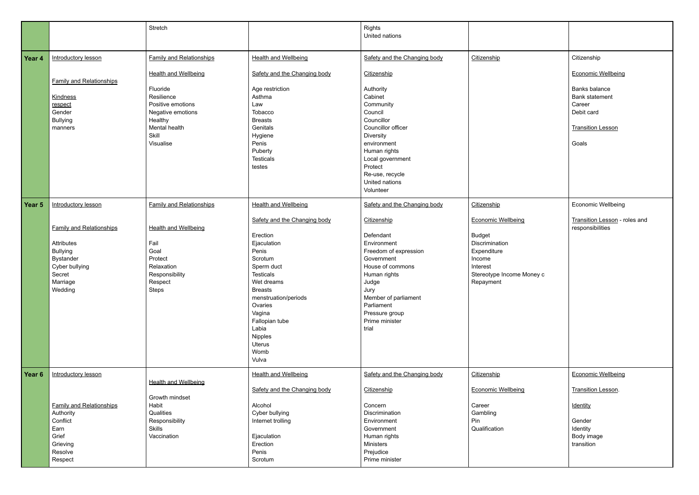|                   |                                                                                                                                         | Stretch                                                                                                               |                                                                                                                                                                                                                                                                    | <b>Rights</b><br>United nations                                                                                                                                                                                        |                                                                                                                                             |                                                                                                                      |
|-------------------|-----------------------------------------------------------------------------------------------------------------------------------------|-----------------------------------------------------------------------------------------------------------------------|--------------------------------------------------------------------------------------------------------------------------------------------------------------------------------------------------------------------------------------------------------------------|------------------------------------------------------------------------------------------------------------------------------------------------------------------------------------------------------------------------|---------------------------------------------------------------------------------------------------------------------------------------------|----------------------------------------------------------------------------------------------------------------------|
| Year <sub>4</sub> | Introductory lesson                                                                                                                     | <b>Family and Relationships</b>                                                                                       | <b>Health and Wellbeing</b>                                                                                                                                                                                                                                        | Safety and the Changing body                                                                                                                                                                                           | Citizenship                                                                                                                                 | Citizenship                                                                                                          |
|                   | <b>Family and Relationships</b><br><b>Kindness</b><br>respect<br>Gender<br><b>Bullying</b>                                              | <b>Health and Wellbeing</b><br>Fluoride<br>Resilience<br>Positive emotions<br>Negative emotions<br>Healthy            | Safety and the Changing body<br>Age restriction<br>Asthma<br>Law<br>Tobacco<br><b>Breasts</b>                                                                                                                                                                      | Citizenship<br>Authority<br>Cabinet<br>Community<br>Council<br>Councillor                                                                                                                                              |                                                                                                                                             | <b>Economic Wellbeing</b><br><b>Banks balance</b><br><b>Bank statement</b><br>Career<br>Debit card                   |
|                   | manners                                                                                                                                 | Mental health<br>Skill<br>Visualise                                                                                   | Genitals<br>Hygiene<br>Penis<br>Puberty<br><b>Testicals</b><br>testes                                                                                                                                                                                              | Councillor officer<br><b>Diversity</b><br>environment<br>Human rights<br>Local government<br>Protect<br>Re-use, recycle<br>United nations<br>Volunteer                                                                 |                                                                                                                                             | <b>Transition Lesson</b><br>Goals                                                                                    |
| Year <sub>5</sub> | Introductory lesson                                                                                                                     | <b>Family and Relationships</b>                                                                                       | <b>Health and Wellbeing</b>                                                                                                                                                                                                                                        | Safety and the Changing body                                                                                                                                                                                           | Citizenship                                                                                                                                 | Economic Wellbeing                                                                                                   |
|                   | <b>Family and Relationships</b><br>Attributes<br><b>Bullying</b><br><b>Bystander</b><br>Cyber bullying<br>Secret<br>Marriage<br>Wedding | <b>Health and Wellbeing</b><br>Fail<br>Goal<br>Protect<br>Relaxation<br>Responsibility<br>Respect<br><b>Steps</b>     | Safety and the Changing body<br>Erection<br>Ejaculation<br>Penis<br>Scrotum<br>Sperm duct<br><b>Testicals</b><br>Wet dreams<br><b>Breasts</b><br>menstruation/periods<br>Ovaries<br>Vagina<br>Fallopian tube<br>Labia<br>Nipples<br><b>Uterus</b><br>Womb<br>Vulva | Citizenship<br>Defendant<br>Environment<br>Freedom of expression<br>Government<br>House of commons<br>Human rights<br>Judge<br>Jury<br>Member of parliament<br>Parliament<br>Pressure group<br>Prime minister<br>trial | <b>Economic Wellbeing</b><br><b>Budget</b><br>Discrimination<br>Expenditure<br>Income<br>Interest<br>Stereotype Income Money c<br>Repayment | Transition Lesson - roles and<br>responsibilities                                                                    |
| Year 6            | Introductory lesson<br><b>Family and Relationships</b><br>Authority<br>Conflict<br>Earn<br>Grief<br>Grieving<br>Resolve<br>Respect      | <b>Health and Wellbeing</b><br>Growth mindset<br>Habit<br>Qualities<br>Responsibility<br><b>Skills</b><br>Vaccination | <b>Health and Wellbeing</b><br>Safety and the Changing body<br>Alcohol<br>Cyber bullying<br>Internet trolling<br>Ejaculation<br>Erection<br>Penis<br>Scrotum                                                                                                       | Safety and the Changing body<br>Citizenship<br>Concern<br>Discrimination<br>Environment<br>Government<br>Human rights<br><b>Ministers</b><br>Prejudice<br>Prime minister                                               | Citizenship<br><b>Economic Wellbeing</b><br>Career<br>Gambling<br>Pin<br>Qualification                                                      | <b>Economic Wellbeing</b><br>Transition Lesson.<br><b>Identity</b><br>Gender<br>Identity<br>Body image<br>transition |